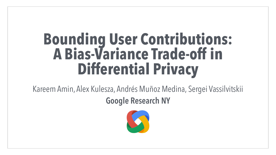# **Bounding User Contributions: A Bias-Variance Trade-off in Differential Privacy**

Kareem Amin, Alex Kulesza, Andrés Muñoz Medina, Sergei Vassilvitskii **Google Research NY**



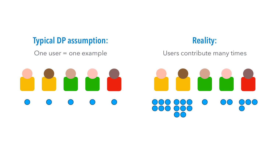## **Typical DP assumption:** One user = one example



## **Reality:**

### Users contribute many times

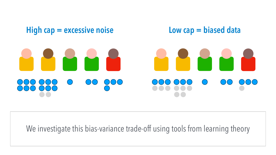## **High cap = excessive noise Low cap = biased data**



## We investigate this bias-variance trade-off using tools from learning theory



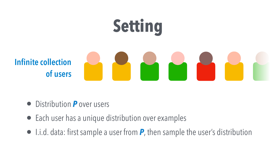



## **Infinite collection of users**



## • Distribution *P* over users

- Each user has a unique distribution over examples
- 

• I.i.d. data: first sample a user from *P*, then sample the user's distribution

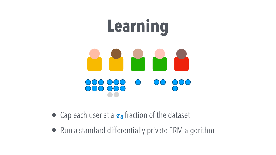## • Cap each user at a  $\tau_0$  fraction of the dataset



• Run a standard differentially private ERM algorithm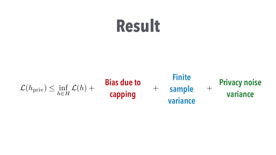### $\mathcal{L}(h_{\text{priv}}) \leq \inf_{h \in E}$  $h \in H$  $\mathcal{L}(h)$  +

A + *O*

 $\mathbf{D}$ @ in c **Bias due to** ⌧0 **capping**

+ *O*

### **Privacy noise** ariance **variance**



# **Result**



### ✓r 1 ⌧0*n* **Finite sample variance**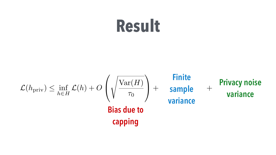

### $\mathcal{L}(h_{\text{priv}}) \leq \inf_{h \in E}$  $h \in H$  $\mathcal{L}(h) + O$  $\sqrt{2}$  $\overline{a}$  $\overline{\phantom{a}}$ **Bias due to capping**

# **Result**

### ✓r 1 ⌧0*n* **Finite sample variance**

### + *O* **Privacy noise** ariance **variance**

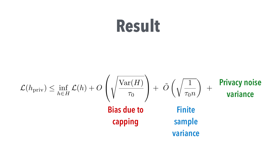### $\mathcal{L}(h_{\text{priv}}) \leq \inf_{h \in E}$  $h \in H$  $\mathcal{L}(h) + O$  $\sqrt{2}$  $\overline{a}$  $\overline{\phantom{a}}$ Var(*H*)  $\tau_0$  $\setminus$ A + *O* ˜  $\sqrt{1}$ ⌧0*n* ◆ + *O* rivacy ariance **Privacy noise Bias due to capping variance Finite sample**

# **Result**

**variance**

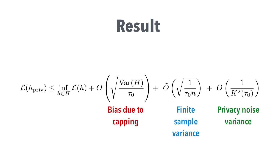### **Bias due to capping**  $\mathcal{L}(h_{\text{priv}}) \leq \inf_{h \in E}$  $h \in H$  $\mathcal{L}(h) + O$  $\sqrt{2}$  $\overline{a}$  $\overline{\phantom{a}}$

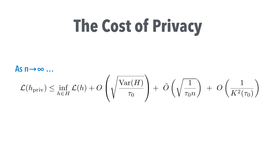

 $\mathcal{L}(h_{\text{priv}}) \leq \inf_{h \in E}$  $h \in H$  $\mathcal{L}(h) + O$  $\sqrt{2}$  $\overline{a}$  $\overline{\phantom{a}}$ Var(*H*)  $\tau_0$  $\setminus$ A + *O* ˜  $\sqrt{1}$ ⌧0*n* ◆ + *O*  $\begin{pmatrix} 1 \end{pmatrix}$  $K^2(\tau_0)$ ◆

**As n→∞ …**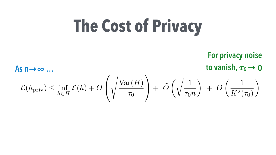# **The Cost of Privacy**

 $\mathcal{L}(h_{\text{priv}}) \leq \inf_{h \in E}$  $h \in H$  $\mathcal{L}(h) + O$  $\sqrt{2}$  $\overline{a}$  $\overline{\phantom{a}}$ Var(*H*)  $\tau_0$  $\setminus$ A + *O* ˜  $\sqrt{1}$ ⌧0*n* ◆ + *O*  $\begin{pmatrix} 1 \end{pmatrix}$  $K^2(\tau_0)$ ◆

## **For privacy noise As n** $\rightarrow \infty$  …

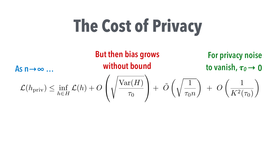# **The Cost of Privacy**





**For privacy noise**  to vanish,  $\tau_0 \rightarrow 0$ 

$$
\left.\frac{\text{Var}(H)}{\tau_0}\right) + \left.\tilde{O}\left(\sqrt{\frac{1}{\tau_0 n}}\right) \;+\; O\left(\frac{1}{K^2(\tau_0)}\right)
$$



# **But then bias grows**

 $\sqrt{2}$